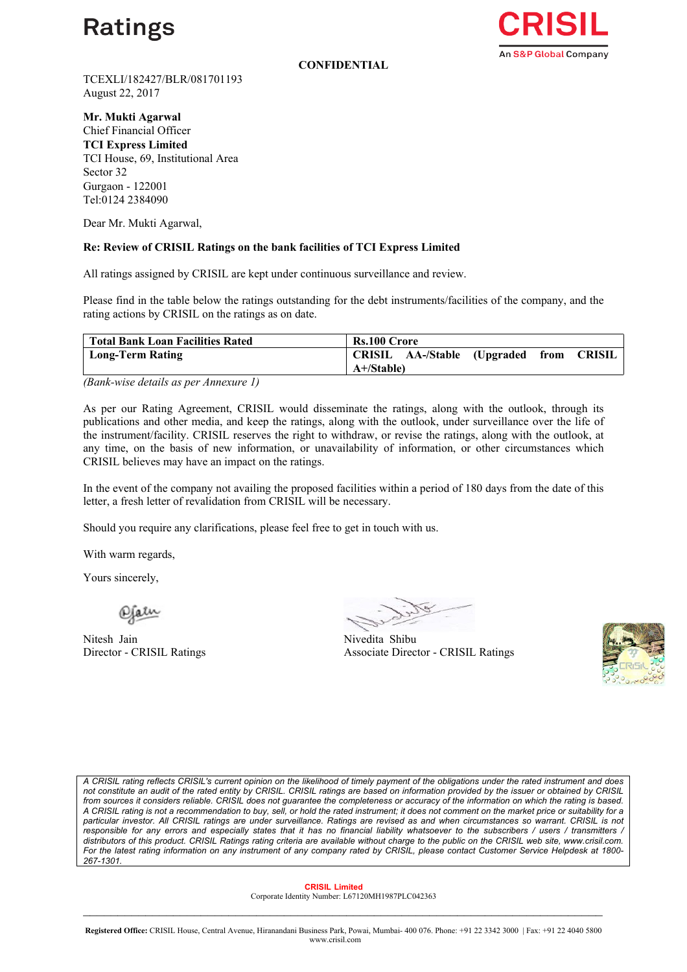

**CONFIDENTIAL**



TCEXLI/182427/BLR/081701193 August 22, 2017

**Mr. Mukti Agarwal** Chief Financial Officer **TCI Express Limited** TCI House, 69, Institutional Area Sector 32 Gurgaon - 122001 Tel:0124 2384090

Dear Mr. Mukti Agarwal,

## **Re: Review of CRISIL Ratings on the bank facilities of TCI Express Limited**

All ratings assigned by CRISIL are kept under continuous surveillance and review.

Please find in the table below the ratings outstanding for the debt instruments/facilities of the company, and the rating actions by CRISIL on the ratings as on date.

| Total Bank Loan Facilities Rated | <b>Rs.100 Crore</b>                                          |  |  |
|----------------------------------|--------------------------------------------------------------|--|--|
| Long-Term Rating                 | CRISIL AA-/Stable (Upgraded from<br>CRISIL<br>$A + S$ table) |  |  |

*(Bank-wise details as per Annexure 1)*

As per our Rating Agreement, CRISIL would disseminate the ratings, along with the outlook, through its publications and other media, and keep the ratings, along with the outlook, under surveillance over the life of the instrument/facility. CRISIL reserves the right to withdraw, or revise the ratings, along with the outlook, at any time, on the basis of new information, or unavailability of information, or other circumstances which CRISIL believes may have an impact on the ratings.

In the event of the company not availing the proposed facilities within a period of 180 days from the date of this letter, a fresh letter of revalidation from CRISIL will be necessary.

Should you require any clarifications, please feel free to get in touch with us.

With warm regards,

Yours sincerely,

Nitesh Jain Nivedita Shibu Director - CRISIL Ratings

Associate Director - CRISIL Ratings



A CRISIL rating reflects CRISIL's current opinion on the likelihood of timely payment of the obligations under the rated instrument and does not constitute an audit of the rated entity by CRISIL. CRISIL ratings are based on information provided by the issuer or obtained by CRISIL from sources it considers reliable. CRISIL does not guarantee the completeness or accuracy of the information on which the rating is based. A CRISIL rating is not a recommendation to buy, sell, or hold the rated instrument; it does not comment on the market price or suitability for a particular investor. All CRISIL ratings are under surveillance. Ratings are revised as and when circumstances so warrant. CRISIL is not responsible for any errors and especially states that it has no financial liability whatsoever to the subscribers / users / transmitters / distributors of this product. CRISIL Ratings rating criteria are available without charge to the public on the CRISIL web site, www.crisil.com. For the latest rating information on any instrument of any company rated by CRISIL, please contact Customer Service Helpdesk at 1800-*267-1301.*

 **CRISIL Limited**  Corporate Identity Number: L67120MH1987PLC042363  $\mathcal{L}_\mathcal{L} = \{ \mathcal{L}_\mathcal{L} = \{ \mathcal{L}_\mathcal{L} = \{ \mathcal{L}_\mathcal{L} = \{ \mathcal{L}_\mathcal{L} = \{ \mathcal{L}_\mathcal{L} = \{ \mathcal{L}_\mathcal{L} = \{ \mathcal{L}_\mathcal{L} = \{ \mathcal{L}_\mathcal{L} = \{ \mathcal{L}_\mathcal{L} = \{ \mathcal{L}_\mathcal{L} = \{ \mathcal{L}_\mathcal{L} = \{ \mathcal{L}_\mathcal{L} = \{ \mathcal{L}_\mathcal{L} = \{ \mathcal{L}_\mathcal{$